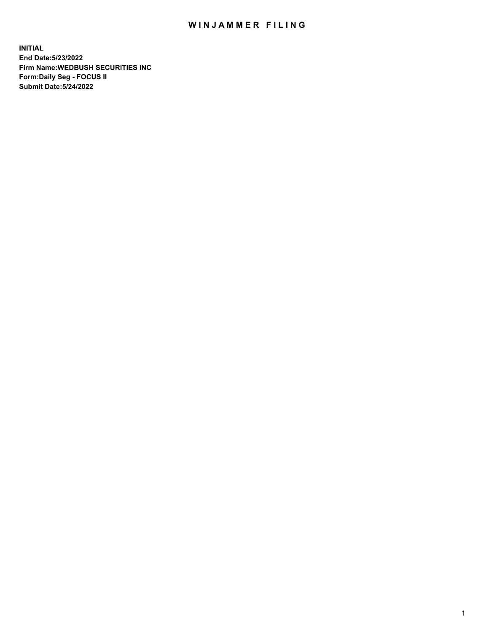## WIN JAMMER FILING

**INITIAL End Date:5/23/2022 Firm Name:WEDBUSH SECURITIES INC Form:Daily Seg - FOCUS II Submit Date:5/24/2022**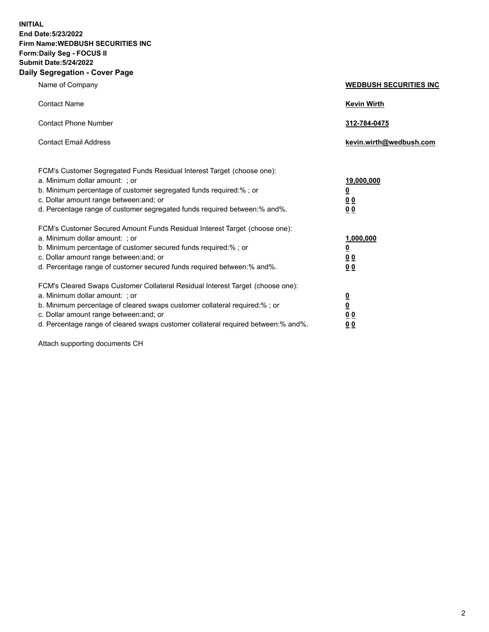**INITIAL End Date:5/23/2022 Firm Name:WEDBUSH SECURITIES INC Form:Daily Seg - FOCUS II Submit Date:5/24/2022 Daily Segregation - Cover Page**

| Name of Company                                                                                                                                                                                                                                                                                                                                                                     | <b>WEDBUSH SECURITIES INC</b>                                                              |
|-------------------------------------------------------------------------------------------------------------------------------------------------------------------------------------------------------------------------------------------------------------------------------------------------------------------------------------------------------------------------------------|--------------------------------------------------------------------------------------------|
| <b>Contact Name</b>                                                                                                                                                                                                                                                                                                                                                                 | <b>Kevin Wirth</b>                                                                         |
| <b>Contact Phone Number</b>                                                                                                                                                                                                                                                                                                                                                         | 312-784-0475                                                                               |
| <b>Contact Email Address</b>                                                                                                                                                                                                                                                                                                                                                        | kevin.wirth@wedbush.com                                                                    |
| FCM's Customer Segregated Funds Residual Interest Target (choose one):<br>a. Minimum dollar amount: ; or<br>b. Minimum percentage of customer segregated funds required:%; or<br>c. Dollar amount range between: and; or                                                                                                                                                            | 19,000,000<br>$\overline{\mathbf{0}}$<br>00                                                |
| d. Percentage range of customer segregated funds required between:% and%.<br>FCM's Customer Secured Amount Funds Residual Interest Target (choose one):<br>a. Minimum dollar amount: ; or<br>b. Minimum percentage of customer secured funds required:% ; or<br>c. Dollar amount range between: and; or<br>d. Percentage range of customer secured funds required between: % and %. | 0 <sub>0</sub><br>1,000,000<br>$\overline{\mathbf{0}}$<br>0 <sub>0</sub><br>0 <sub>0</sub> |
| FCM's Cleared Swaps Customer Collateral Residual Interest Target (choose one):<br>a. Minimum dollar amount: ; or<br>b. Minimum percentage of cleared swaps customer collateral required:%; or<br>c. Dollar amount range between: and; or                                                                                                                                            | $\frac{\frac{0}{0}}{\frac{0}{0}}$                                                          |

d. Percentage range of cleared swaps customer collateral required between:% and%. **0 0**

Attach supporting documents CH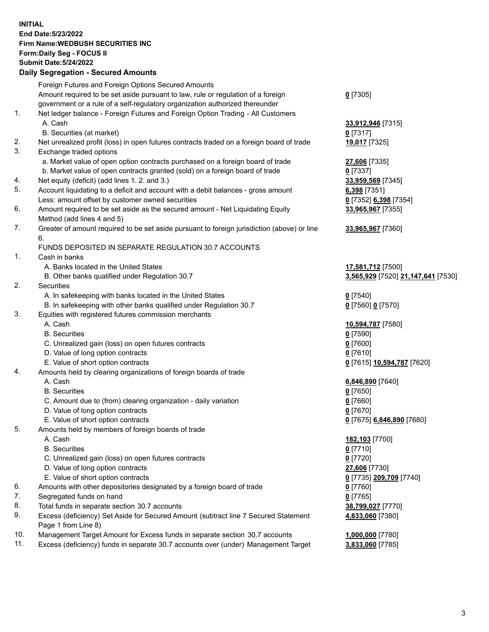**INITIAL End Date:5/23/2022 Firm Name:WEDBUSH SECURITIES INC Form:Daily Seg - FOCUS II Submit Date:5/24/2022 Daily Segregation - Secured Amounts**

|     | 2011, Ocgi ogation - Oceanea Anioanita                                                      |                                    |
|-----|---------------------------------------------------------------------------------------------|------------------------------------|
|     | Foreign Futures and Foreign Options Secured Amounts                                         |                                    |
|     | Amount required to be set aside pursuant to law, rule or regulation of a foreign            | $0$ [7305]                         |
|     | government or a rule of a self-regulatory organization authorized thereunder                |                                    |
| 1.  | Net ledger balance - Foreign Futures and Foreign Option Trading - All Customers             |                                    |
|     | A. Cash                                                                                     | 33,912,946 [7315]                  |
|     | B. Securities (at market)                                                                   | $0$ [7317]                         |
| 2.  | Net unrealized profit (loss) in open futures contracts traded on a foreign board of trade   | 19,017 [7325]                      |
| 3.  | Exchange traded options                                                                     |                                    |
|     | a. Market value of open option contracts purchased on a foreign board of trade              | 27,606 [7335]                      |
|     | b. Market value of open contracts granted (sold) on a foreign board of trade                | $0$ [7337]                         |
| 4.  | Net equity (deficit) (add lines 1. 2. and 3.)                                               | 33,959,569 [7345]                  |
| 5.  | Account liquidating to a deficit and account with a debit balances - gross amount           | 6,398 [7351]                       |
|     | Less: amount offset by customer owned securities                                            | 0 [7352] 6,398 [7354]              |
| 6.  | Amount required to be set aside as the secured amount - Net Liquidating Equity              | 33,965,967 [7355]                  |
|     | Method (add lines 4 and 5)                                                                  |                                    |
| 7.  | Greater of amount required to be set aside pursuant to foreign jurisdiction (above) or line | 33,965,967 [7360]                  |
|     | 6.                                                                                          |                                    |
|     | FUNDS DEPOSITED IN SEPARATE REGULATION 30.7 ACCOUNTS                                        |                                    |
| 1.  | Cash in banks                                                                               |                                    |
|     | A. Banks located in the United States                                                       | 17,581,712 [7500]                  |
|     | B. Other banks qualified under Regulation 30.7                                              | 3,565,929 [7520] 21,147,641 [7530] |
| 2.  | Securities                                                                                  |                                    |
|     | A. In safekeeping with banks located in the United States                                   | $0$ [7540]                         |
| 3.  | B. In safekeeping with other banks qualified under Regulation 30.7                          | 0 [7560] 0 [7570]                  |
|     | Equities with registered futures commission merchants<br>A. Cash                            |                                    |
|     | <b>B.</b> Securities                                                                        | 10,594,787 [7580]<br>$0$ [7590]    |
|     | C. Unrealized gain (loss) on open futures contracts                                         | $0$ [7600]                         |
|     | D. Value of long option contracts                                                           | $0$ [7610]                         |
|     | E. Value of short option contracts                                                          | 0 [7615] 10,594,787 [7620]         |
| 4.  | Amounts held by clearing organizations of foreign boards of trade                           |                                    |
|     | A. Cash                                                                                     | 6,846,890 [7640]                   |
|     | <b>B.</b> Securities                                                                        | $0$ [7650]                         |
|     | C. Amount due to (from) clearing organization - daily variation                             | $0$ [7660]                         |
|     | D. Value of long option contracts                                                           | $0$ [7670]                         |
|     | E. Value of short option contracts                                                          | 0 [7675] 6,846,890 [7680]          |
| 5.  | Amounts held by members of foreign boards of trade                                          |                                    |
|     | A. Cash                                                                                     | 182,103 [7700]                     |
|     | <b>B.</b> Securities                                                                        | $0$ [7710]                         |
|     | C. Unrealized gain (loss) on open futures contracts                                         | $0$ [7720]                         |
|     | D. Value of long option contracts                                                           | 27,606 [7730]                      |
|     | E. Value of short option contracts                                                          | 0 [7735] 209,709 [7740]            |
| 6.  | Amounts with other depositories designated by a foreign board of trade                      | 0 [7760]                           |
| 7.  | Segregated funds on hand                                                                    | $0$ [7765]                         |
| 8.  | Total funds in separate section 30.7 accounts                                               | 38,799,027 [7770]                  |
| 9.  | Excess (deficiency) Set Aside for Secured Amount (subtract line 7 Secured Statement         | 4,833,060 [7380]                   |
|     | Page 1 from Line 8)                                                                         |                                    |
| 10. | Management Target Amount for Excess funds in separate section 30.7 accounts                 | 1,000,000 [7780]                   |
| 11. | Excess (deficiency) funds in separate 30.7 accounts over (under) Management Target          | 3,833,060 [7785]                   |
|     |                                                                                             |                                    |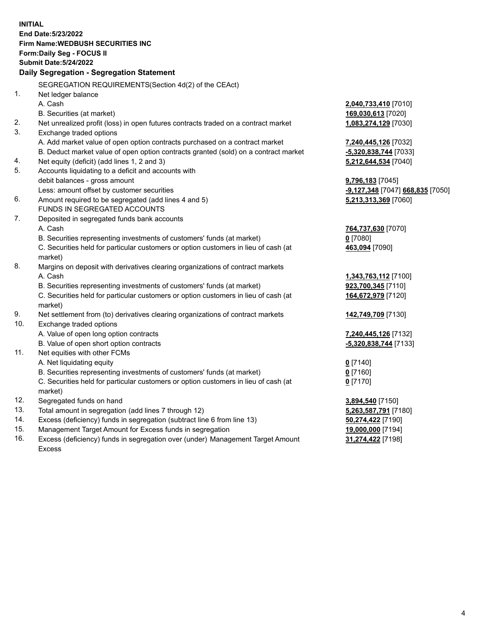|     | <b>INITIAL</b><br>End Date: 5/23/2022                                                          |                                  |
|-----|------------------------------------------------------------------------------------------------|----------------------------------|
|     | Firm Name: WEDBUSH SECURITIES INC                                                              |                                  |
|     | Form: Daily Seg - FOCUS II                                                                     |                                  |
|     | <b>Submit Date: 5/24/2022</b>                                                                  |                                  |
|     | Daily Segregation - Segregation Statement                                                      |                                  |
|     | SEGREGATION REQUIREMENTS(Section 4d(2) of the CEAct)                                           |                                  |
| 1.  | Net ledger balance                                                                             |                                  |
|     | A. Cash                                                                                        | 2,040,733,410 [7010]             |
|     | B. Securities (at market)                                                                      | 169,030,613 [7020]               |
| 2.  | Net unrealized profit (loss) in open futures contracts traded on a contract market             | 1,083,274,129 [7030]             |
| 3.  | Exchange traded options                                                                        |                                  |
|     | A. Add market value of open option contracts purchased on a contract market                    | 7,240,445,126 [7032]             |
|     | B. Deduct market value of open option contracts granted (sold) on a contract market            | -5,320,838,744 [7033]            |
| 4.  | Net equity (deficit) (add lines 1, 2 and 3)                                                    | 5,212,644,534 [7040]             |
| 5.  | Accounts liquidating to a deficit and accounts with                                            |                                  |
|     | debit balances - gross amount                                                                  | 9,796,183 [7045]                 |
|     | Less: amount offset by customer securities                                                     | -9,127,348 [7047] 668,835 [7050] |
| 6.  | Amount required to be segregated (add lines 4 and 5)                                           | 5,213,313,369 [7060]             |
|     | FUNDS IN SEGREGATED ACCOUNTS                                                                   |                                  |
| 7.  | Deposited in segregated funds bank accounts                                                    |                                  |
|     | A. Cash                                                                                        | 764,737,630 [7070]               |
|     | B. Securities representing investments of customers' funds (at market)                         | $0$ [7080]                       |
|     | C. Securities held for particular customers or option customers in lieu of cash (at<br>market) | 463,094 [7090]                   |
| 8.  | Margins on deposit with derivatives clearing organizations of contract markets                 |                                  |
|     | A. Cash                                                                                        | 1,343,763,112 [7100]             |
|     | B. Securities representing investments of customers' funds (at market)                         | 923,700,345 [7110]               |
|     | C. Securities held for particular customers or option customers in lieu of cash (at<br>market) | 164,672,979 [7120]               |
| 9.  | Net settlement from (to) derivatives clearing organizations of contract markets                | 142,749,709 [7130]               |
| 10. | Exchange traded options                                                                        |                                  |
|     | A. Value of open long option contracts                                                         | 7,240,445,126 [7132]             |
|     | B. Value of open short option contracts                                                        | -5,320,838,744 [7133]            |
| 11. | Net equities with other FCMs                                                                   |                                  |
|     | A. Net liquidating equity                                                                      | $0$ [7140]                       |
|     | B. Securities representing investments of customers' funds (at market)                         | $0$ [7160]                       |
|     | C. Securities held for particular customers or option customers in lieu of cash (at            | 0 <sup>[7170]</sup>              |
|     | market)                                                                                        |                                  |
| 12. | Segregated funds on hand                                                                       | 3,894,540 [7150]                 |
| 13. | Total amount in segregation (add lines 7 through 12)                                           | 5,263,587,791 [7180]             |
| 14. | Excess (deficiency) funds in segregation (subtract line 6 from line 13)                        | 50,274,422 [7190]                |
| 15. | Management Target Amount for Excess funds in segregation                                       | 19,000,000 [7194]                |

16. Excess (deficiency) funds in segregation over (under) Management Target Amount Excess

**31,274,422** [7198]